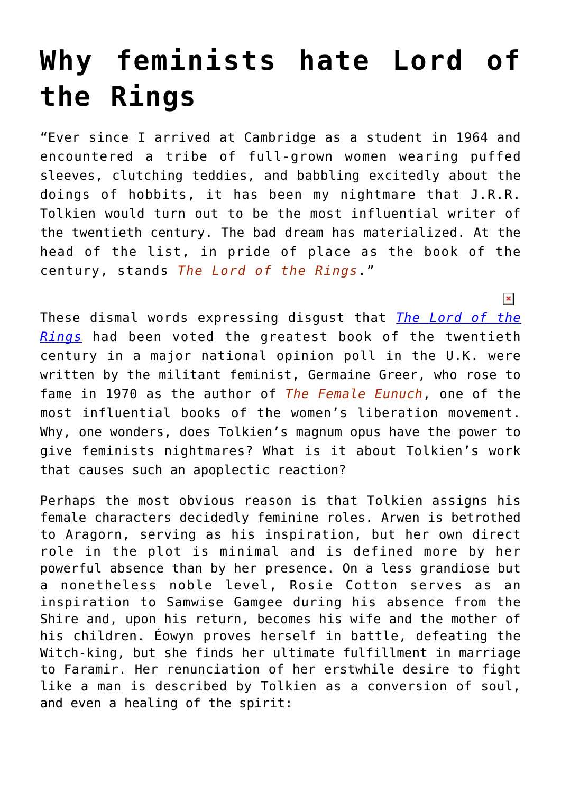## **[Why feminists hate Lord of](https://intellectualtakeout.org/2016/05/why-feminists-hate-lord-of-the-rings/) [the Rings](https://intellectualtakeout.org/2016/05/why-feminists-hate-lord-of-the-rings/)**

"Ever since I arrived at Cambridge as a student in 1964 and encountered a tribe of full-grown women wearing puffed sleeves, clutching teddies, and babbling excitedly about the doings of hobbits, it has been my nightmare that J.R.R. Tolkien would turn out to be the most influential writer of the twentieth century. The bad dream has materialized. At the head of the list, in pride of place as the book of the century, stands *[The Lord of the Rings](http://astore.amazon.com/theimaginativeconservative-20/detail/0345538374)*."

These dismal words expressing disgust that *[The Lord of the](http://amzn.to/1rnwoOR) [Rings](http://amzn.to/1rnwoOR)* had been voted the greatest book of the twentieth century in a major national opinion poll in the U.K. were written by the militant feminist, Germaine Greer, who rose to fame in 1970 as the author of *[The Female Eunuch](http://astore.amazon.com/theimaginativeconservative-20/detail/006157953X)*, one of the most influential books of the women's liberation movement. Why, one wonders, does Tolkien's magnum opus have the power to give feminists nightmares? What is it about Tolkien's work that causes such an apoplectic reaction?

 $\pmb{\times}$ 

Perhaps the most obvious reason is that Tolkien assigns his female characters decidedly feminine roles. Arwen is betrothed to Aragorn, serving as his inspiration, but her own direct role in the plot is minimal and is defined more by her powerful absence than by her presence. On a less grandiose but a nonetheless noble level, Rosie Cotton serves as an inspiration to Samwise Gamgee during his absence from the Shire and, upon his return, becomes his wife and the mother of his children. Éowyn proves herself in battle, defeating the Witch-king, but she finds her ultimate fulfillment in marriage to Faramir. Her renunciation of her erstwhile desire to fight like a man is described by Tolkien as a conversion of soul, and even a healing of the spirit: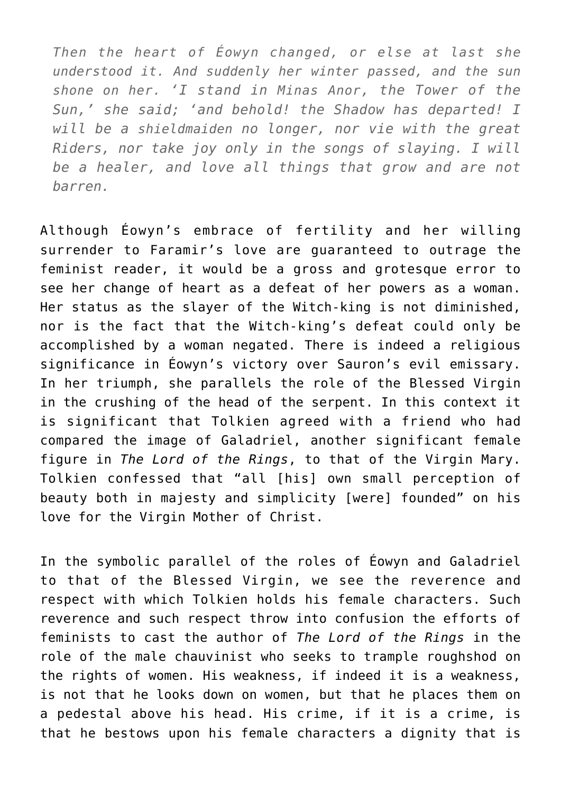*Then the heart of Éowyn changed, or else at last she understood it. And suddenly her winter passed, and the sun shone on her. 'I stand in Minas Anor, the Tower of the Sun,' she said; 'and behold! the Shadow has departed! I will be a shieldmaiden no longer, nor vie with the great Riders, nor take joy only in the songs of slaying. I will be a healer, and love all things that grow and are not barren.*

Although Éowyn's embrace of fertility and her willing surrender to Faramir's love are guaranteed to outrage the feminist reader, it would be a gross and grotesque error to see her change of heart as a defeat of her powers as a woman. Her status as the slayer of the Witch-king is not diminished, nor is the fact that the Witch-king's defeat could only be accomplished by a woman negated. There is indeed a religious significance in Éowyn's victory over Sauron's evil emissary. In her triumph, she parallels the role of the Blessed Virgin in the crushing of the head of the serpent. In this context it is significant that Tolkien agreed with a friend who had compared the image of Galadriel, another significant female figure in *The Lord of the Rings*, to that of the Virgin Mary. Tolkien confessed that "all [his] own small perception of beauty both in majesty and simplicity [were] founded" on his love for the Virgin Mother of Christ.

In the symbolic parallel of the roles of Éowyn and Galadriel to that of the Blessed Virgin, we see the reverence and respect with which Tolkien holds his female characters. Such reverence and such respect throw into confusion the efforts of feminists to cast the author of *The Lord of the Rings* in the role of the male chauvinist who seeks to trample roughshod on the rights of women. His weakness, if indeed it is a weakness, is not that he looks down on women, but that he places them on a pedestal above his head. His crime, if it is a crime, is that he bestows upon his female characters a dignity that is